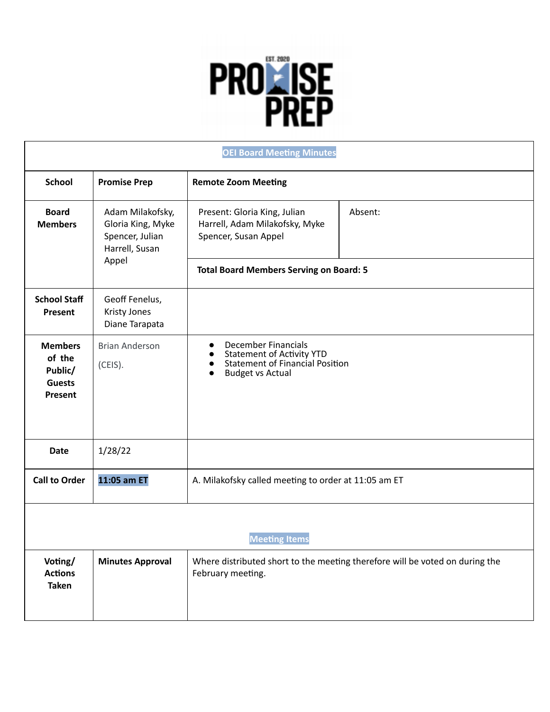## **PROTTISE**

| <b>OEI Board Meeting Minutes</b>                                |                                                                                     |                                                                                                                                                               |         |  |
|-----------------------------------------------------------------|-------------------------------------------------------------------------------------|---------------------------------------------------------------------------------------------------------------------------------------------------------------|---------|--|
| <b>School</b>                                                   | <b>Promise Prep</b>                                                                 | <b>Remote Zoom Meeting</b>                                                                                                                                    |         |  |
| <b>Board</b><br><b>Members</b>                                  | Adam Milakofsky,<br>Gloria King, Myke<br>Spencer, Julian<br>Harrell, Susan<br>Appel | Present: Gloria King, Julian<br>Harrell, Adam Milakofsky, Myke<br>Spencer, Susan Appel                                                                        | Absent: |  |
|                                                                 |                                                                                     | <b>Total Board Members Serving on Board: 5</b>                                                                                                                |         |  |
| <b>School Staff</b><br>Present                                  | Geoff Fenelus,<br><b>Kristy Jones</b><br>Diane Tarapata                             |                                                                                                                                                               |         |  |
| <b>Members</b><br>of the<br>Public/<br><b>Guests</b><br>Present | <b>Brian Anderson</b><br>(CEIS).                                                    | <b>December Financials</b><br>$\bullet$<br><b>Statement of Activity YTD</b><br><b>Statement of Financial Position</b><br><b>Budget vs Actual</b><br>$\bullet$ |         |  |
| <b>Date</b>                                                     | 1/28/22                                                                             |                                                                                                                                                               |         |  |
| <b>Call to Order</b>                                            | 11:05 am ET                                                                         | A. Milakofsky called meeting to order at 11:05 am ET                                                                                                          |         |  |
| <b>Meeting Items</b>                                            |                                                                                     |                                                                                                                                                               |         |  |
| Voting/<br><b>Actions</b><br><b>Taken</b>                       | <b>Minutes Approval</b>                                                             | Where distributed short to the meeting therefore will be voted on during the<br>February meeting.                                                             |         |  |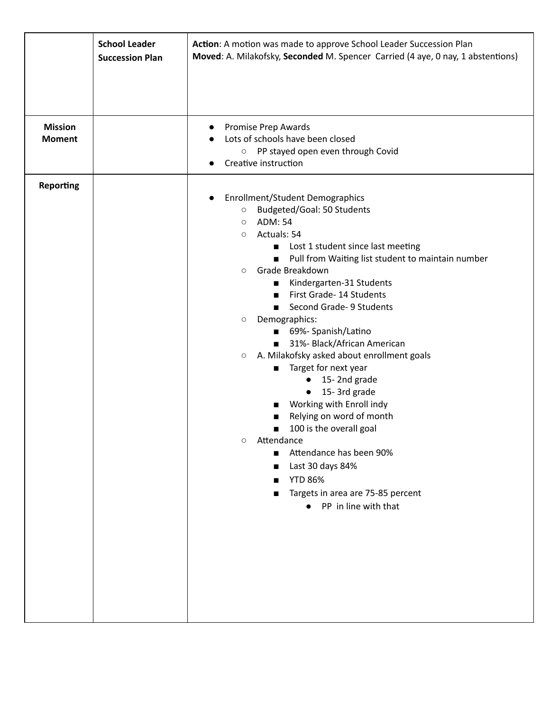|                                 | <b>School Leader</b><br><b>Succession Plan</b> | Action: A motion was made to approve School Leader Succession Plan<br>Moved: A. Milakofsky, Seconded M. Spencer Carried (4 aye, 0 nay, 1 abstentions)                                                                                                                                                                                                                                                                                                                                                                                                                                                                                                                                                                                                                                                                                                                                                                                     |  |
|---------------------------------|------------------------------------------------|-------------------------------------------------------------------------------------------------------------------------------------------------------------------------------------------------------------------------------------------------------------------------------------------------------------------------------------------------------------------------------------------------------------------------------------------------------------------------------------------------------------------------------------------------------------------------------------------------------------------------------------------------------------------------------------------------------------------------------------------------------------------------------------------------------------------------------------------------------------------------------------------------------------------------------------------|--|
|                                 |                                                |                                                                                                                                                                                                                                                                                                                                                                                                                                                                                                                                                                                                                                                                                                                                                                                                                                                                                                                                           |  |
| <b>Mission</b><br><b>Moment</b> |                                                | Promise Prep Awards<br>$\bullet$<br>Lots of schools have been closed<br>$\bullet$<br>PP stayed open even through Covid<br>$\circ$<br>Creative instruction                                                                                                                                                                                                                                                                                                                                                                                                                                                                                                                                                                                                                                                                                                                                                                                 |  |
| <b>Reporting</b>                |                                                | <b>Enrollment/Student Demographics</b><br>$\bullet$<br>Budgeted/Goal: 50 Students<br>$\circ$<br><b>ADM: 54</b><br>$\circlearrowright$<br>Actuals: 54<br>$\circ$<br>Lost 1 student since last meeting<br>ш<br>Pull from Waiting list student to maintain number<br>$\blacksquare$<br>Grade Breakdown<br>$\circ$<br>Kindergarten-31 Students<br>п<br>First Grade- 14 Students<br>$\blacksquare$<br>Second Grade- 9 Students<br>$\mathbf{r}$<br>Demographics:<br>$\circ$<br>69%- Spanish/Latino<br>31%- Black/African American<br>A. Milakofsky asked about enrollment goals<br>$\circ$<br>Target for next year<br>15-2nd grade<br>$\bullet$<br>15-3rd grade<br>$\bullet$<br>Working with Enroll indy<br>Relying on word of month<br>100 is the overall goal<br>■<br>Attendance<br>$\circ$<br>Attendance has been 90%<br>$\blacksquare$<br>Last 30 days 84%<br><b>YTD 86%</b><br>Targets in area are 75-85 percent<br>• PP in line with that |  |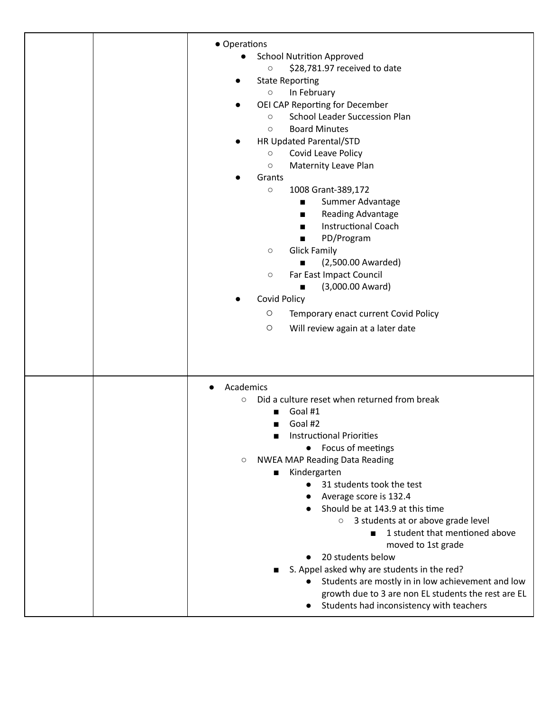| • Operations                                                   |
|----------------------------------------------------------------|
| <b>School Nutrition Approved</b>                               |
| \$28,781.97 received to date<br>$\bigcirc$                     |
| <b>State Reporting</b>                                         |
| In February<br>$\circ$                                         |
| OEI CAP Reporting for December                                 |
| <b>School Leader Succession Plan</b><br>$\circ$                |
| <b>Board Minutes</b><br>$\circ$                                |
| HR Updated Parental/STD                                        |
| Covid Leave Policy<br>$\bigcirc$                               |
| <b>Maternity Leave Plan</b><br>$\circ$                         |
| Grants                                                         |
| 1008 Grant-389,172<br>$\circ$                                  |
| Summer Advantage<br>п                                          |
| Reading Advantage<br>$\blacksquare$                            |
| <b>Instructional Coach</b><br>п                                |
| PD/Program<br>п                                                |
| <b>Glick Family</b><br>$\circ$                                 |
| (2,500.00 Awarded)                                             |
| Far East Impact Council<br>$\circ$                             |
| (3,000.00 Award)<br>■                                          |
| <b>Covid Policy</b>                                            |
| O<br>Temporary enact current Covid Policy                      |
| $\bigcirc$<br>Will review again at a later date                |
|                                                                |
| Academics<br>$\bullet$                                         |
| Did a culture reset when returned from break<br>$\circ$        |
| Goal #1                                                        |
| Goal #2                                                        |
| <b>Instructional Priorities</b>                                |
| Focus of meetings<br>$\bullet$                                 |
| NWEA MAP Reading Data Reading<br>$\circ$                       |
| Kindergarten<br>31 students took the test<br>$\bullet$         |
| Average score is 132.4                                         |
| Should be at 143.9 at this time<br>$\bullet$                   |
| ○ 3 students at or above grade level                           |
| 1 student that mentioned above                                 |
| moved to 1st grade                                             |
| 20 students below<br>$\bullet$                                 |
| S. Appel asked why are students in the red?                    |
| Students are mostly in in low achievement and low<br>$\bullet$ |
| growth due to 3 are non EL students the rest are EL            |
| Students had inconsistency with teachers                       |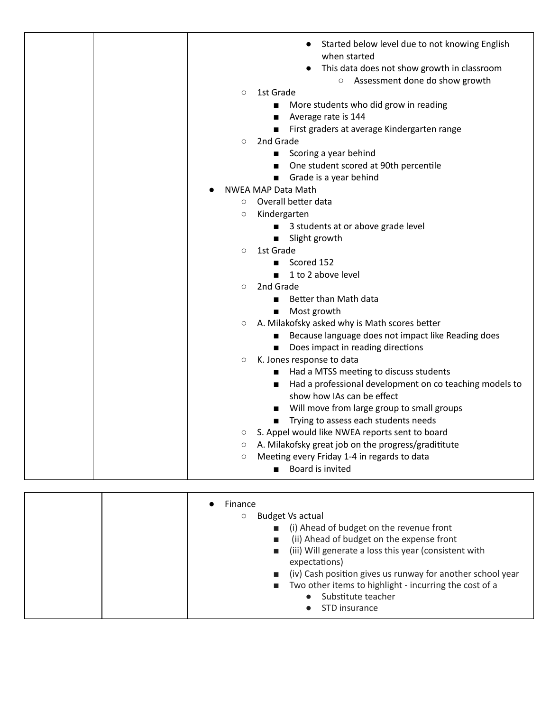|  | $\circ$<br>$\circ$  | Started below level due to not knowing English<br>when started<br>This data does not show growth in classroom<br>○ Assessment done do show growth<br>1st Grade<br>More students who did grow in reading<br>Average rate is 144<br>п<br>First graders at average Kindergarten range<br>2nd Grade<br>■ Scoring a year behind |
|--|---------------------|----------------------------------------------------------------------------------------------------------------------------------------------------------------------------------------------------------------------------------------------------------------------------------------------------------------------------|
|  |                     | One student scored at 90th percentile                                                                                                                                                                                                                                                                                      |
|  |                     | Grade is a year behind                                                                                                                                                                                                                                                                                                     |
|  |                     | <b>NWEA MAP Data Math</b>                                                                                                                                                                                                                                                                                                  |
|  | $\circ$             | Overall better data                                                                                                                                                                                                                                                                                                        |
|  | $\circlearrowright$ | Kindergarten                                                                                                                                                                                                                                                                                                               |
|  |                     | ■ 3 students at or above grade level                                                                                                                                                                                                                                                                                       |
|  |                     | Slight growth<br>$\blacksquare$<br>1st Grade                                                                                                                                                                                                                                                                               |
|  | $\circ$             | Scored 152                                                                                                                                                                                                                                                                                                                 |
|  |                     | 1 to 2 above level                                                                                                                                                                                                                                                                                                         |
|  | $\circ$             | 2nd Grade                                                                                                                                                                                                                                                                                                                  |
|  |                     | Better than Math data<br>$\blacksquare$                                                                                                                                                                                                                                                                                    |
|  |                     | Most growth                                                                                                                                                                                                                                                                                                                |
|  | $\circ$             | A. Milakofsky asked why is Math scores better                                                                                                                                                                                                                                                                              |
|  |                     | Because language does not impact like Reading does                                                                                                                                                                                                                                                                         |
|  |                     | Does impact in reading directions                                                                                                                                                                                                                                                                                          |
|  | $\circ$             | K. Jones response to data                                                                                                                                                                                                                                                                                                  |
|  |                     | Had a MTSS meeting to discuss students                                                                                                                                                                                                                                                                                     |
|  |                     | Had a professional development on co teaching models to                                                                                                                                                                                                                                                                    |
|  |                     | show how IAs can be effect                                                                                                                                                                                                                                                                                                 |
|  |                     | Will move from large group to small groups                                                                                                                                                                                                                                                                                 |
|  |                     | Trying to assess each students needs                                                                                                                                                                                                                                                                                       |
|  | $\circ$             | S. Appel would like NWEA reports sent to board                                                                                                                                                                                                                                                                             |
|  | $\circ$             | A. Milakofsky great job on the progress/gradititute                                                                                                                                                                                                                                                                        |
|  | $\circ$             | Meeting every Friday 1-4 in regards to data                                                                                                                                                                                                                                                                                |
|  |                     | Board is invited                                                                                                                                                                                                                                                                                                           |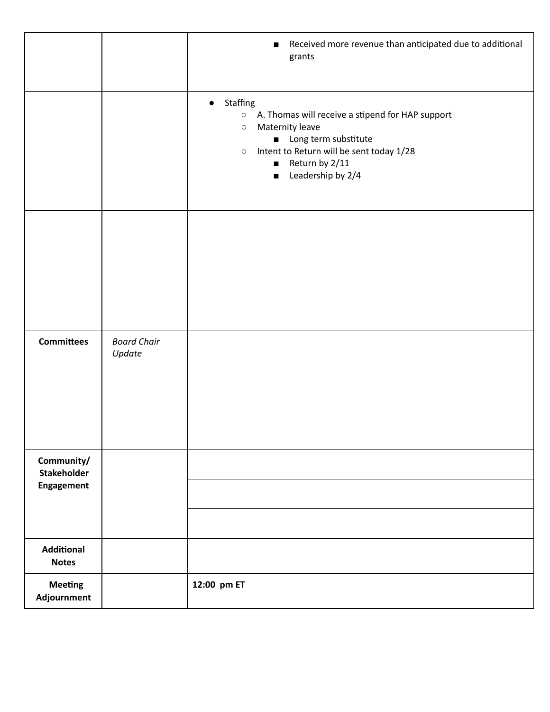|                                                |                              | Received more revenue than anticipated due to additional<br>п<br>grants                                                                                                                                                                                                |
|------------------------------------------------|------------------------------|------------------------------------------------------------------------------------------------------------------------------------------------------------------------------------------------------------------------------------------------------------------------|
|                                                |                              | • Staffing<br>A. Thomas will receive a stipend for HAP support<br>$\circ$<br>Maternity leave<br>$\circ$<br>Long term substitute<br>$\blacksquare$<br>Intent to Return will be sent today 1/28<br>$\circ$<br>Return by 2/11<br>П<br>Leadership by 2/4<br>$\blacksquare$ |
|                                                |                              |                                                                                                                                                                                                                                                                        |
| <b>Committees</b>                              | <b>Board Chair</b><br>Update |                                                                                                                                                                                                                                                                        |
| Community/<br><b>Stakeholder</b><br>Engagement |                              |                                                                                                                                                                                                                                                                        |
| <b>Additional</b><br><b>Notes</b>              |                              |                                                                                                                                                                                                                                                                        |
| <b>Meeting</b><br>Adjournment                  |                              | 12:00 pm ET                                                                                                                                                                                                                                                            |